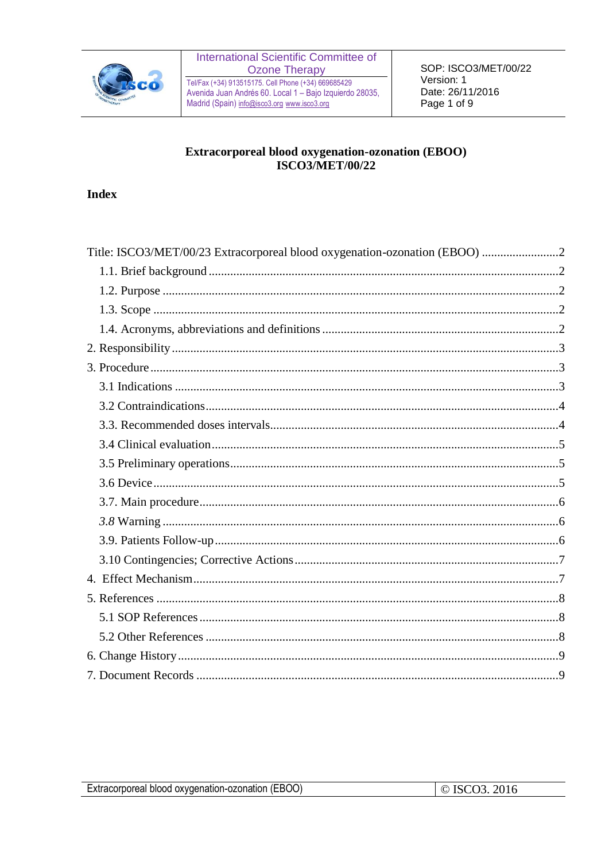

Tel/Fax (+34) 913515175. Cell Phone (+34) 669685429<br>Avenida Juan Andrés 60. Local 1 – Bajo Izquierdo 28035, Madrid (Spain) info@isco3.org www.isco3.org

### Extracorporeal blood oxygenation-ozonation (EBOO) **ISCO3/MET/00/22**

#### **Index**

| Title: ISCO3/MET/00/23 Extracorporeal blood oxygenation-ozonation (EBOO) |  |
|--------------------------------------------------------------------------|--|
|                                                                          |  |
|                                                                          |  |
|                                                                          |  |
|                                                                          |  |
|                                                                          |  |
|                                                                          |  |
|                                                                          |  |
|                                                                          |  |
|                                                                          |  |
|                                                                          |  |
|                                                                          |  |
|                                                                          |  |
|                                                                          |  |
|                                                                          |  |
|                                                                          |  |
|                                                                          |  |
|                                                                          |  |
|                                                                          |  |
|                                                                          |  |
|                                                                          |  |
|                                                                          |  |
|                                                                          |  |
|                                                                          |  |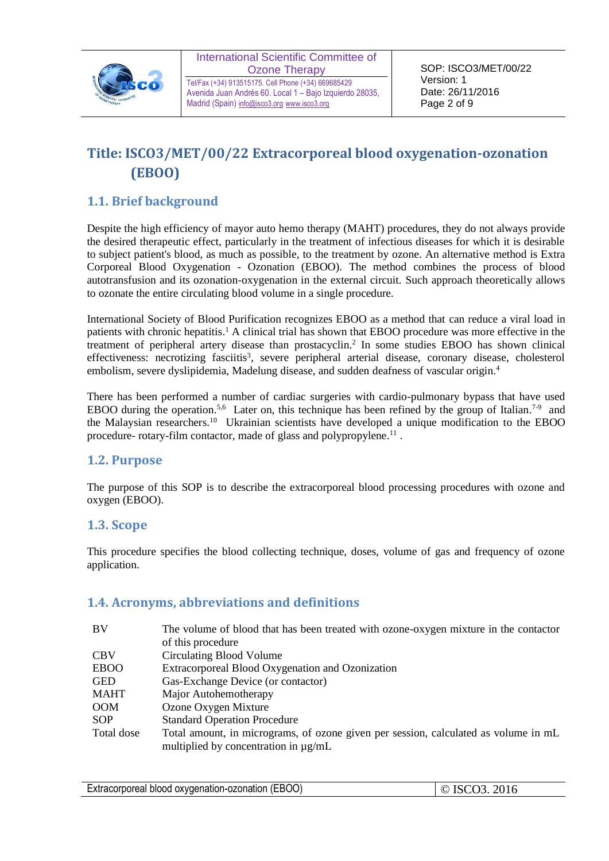

Tel/Fax (+34) 913515175. Cell Phone (+34) 669685429 Avenida Juan Andrés 60. Local 1 – Bajo Izquierdo 28035, Madrid (Spain) [info@isco3.org](mailto:info@isco3.org) [www.isco3.org](http://www.isco3.org/)

SOP: ISCO3/MET/00/22 Version: 1 Date: 26/11/2016 Page 2 of 9

# <span id="page-1-0"></span>**Title: ISCO3/MET/00/22 Extracorporeal blood oxygenation-ozonation (EBOO)**

## <span id="page-1-1"></span>**1.1. Brief background**

Despite the high efficiency of mayor auto hemo therapy (MAHT) procedures, they do not always provide the desired therapeutic effect, particularly in the treatment of infectious diseases for which it is desirable to subject patient's blood, as much as possible, to the treatment by ozone. An alternative method is Extra Corporeal Blood Oxygenation - Ozonation (EBOO). The method combines the process of blood autotransfusion and its ozonation-oxygenation in the external circuit. Such approach theoretically allows to ozonate the entire circulating blood volume in a single procedure.

International Society of Blood Purification recognizes EBOO as a method that can reduce a viral load in patients with chronic hepatitis.<sup>1</sup> A clinical trial has shown that EBOO procedure was more effective in the treatment of peripheral artery disease than prostacyclin. 2 In some studies EBOO has shown clinical effectiveness: necrotizing fasciitis<sup>3</sup>, severe peripheral arterial disease, coronary disease, cholesterol embolism, severe dyslipidemia, Madelung disease, and sudden deafness of vascular origin.<sup>4</sup>

There has been performed a number of cardiac surgeries with cardio-pulmonary bypass that have used EBOO during the operation.<sup>5,6</sup> Later on, this technique has been refined by the group of Italian.<sup>7-9</sup> and the Malaysian researchers.<sup>10</sup> Ukrainian scientists have developed a unique modification to the EBOO procedure- rotary-film contactor, made of glass and polypropylene.<sup>11</sup>.

## <span id="page-1-2"></span>**1.2. Purpose**

The purpose of this SOP is to describe the extracorporeal blood processing procedures with ozone and oxygen (EBOO).

#### <span id="page-1-3"></span>**1.3. Scope**

This procedure specifies the blood collecting technique, doses, volume of gas and frequency of ozone application.

## <span id="page-1-4"></span>**1.4. Acronyms, abbreviations and definitions**

| BV          | The volume of blood that has been treated with ozone-oxygen mixture in the contactor<br>of this procedure |
|-------------|-----------------------------------------------------------------------------------------------------------|
| <b>CBV</b>  | Circulating Blood Volume                                                                                  |
| <b>EBOO</b> | Extracorporeal Blood Oxygenation and Ozonization                                                          |
| <b>GED</b>  | Gas-Exchange Device (or contactor)                                                                        |
| <b>MAHT</b> | Major Autohemotherapy                                                                                     |
| <b>OOM</b>  | Ozone Oxygen Mixture                                                                                      |
| <b>SOP</b>  | <b>Standard Operation Procedure</b>                                                                       |
| Total dose  | Total amount, in micrograms, of ozone given per session, calculated as volume in mL                       |
|             | multiplied by concentration in $\mu$ g/mL                                                                 |

| Extracorporeal blood oxygenation-ozonation (EBOO) | $\circ$ ISCO3. 2016 |
|---------------------------------------------------|---------------------|
|                                                   |                     |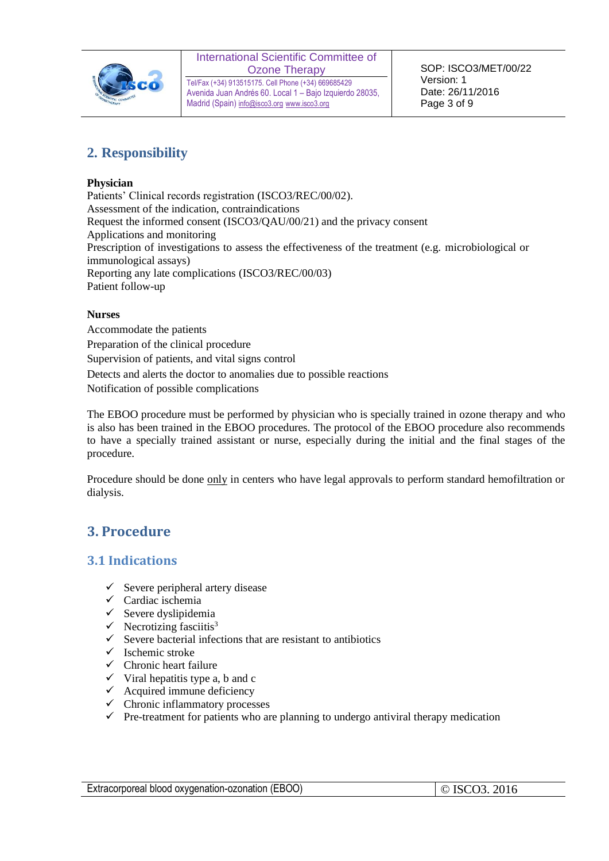

Tel/Fax (+34) 913515175. Cell Phone (+34) 669685429 Avenida Juan Andrés 60. Local 1 – Bajo Izquierdo 28035, Madrid (Spain) [info@isco3.org](mailto:info@isco3.org) [www.isco3.org](http://www.isco3.org/)

# <span id="page-2-0"></span>**2. Responsibility**

#### **Physician**

Patients' Clinical records registration (ISCO3/REC/00/02). Assessment of the indication, contraindications Request the informed consent (ISCO3/QAU/00/21) and the privacy consent Applications and monitoring Prescription of investigations to assess the effectiveness of the treatment (e.g. microbiological or immunological assays) Reporting any late complications (ISCO3/REC/00/03) Patient follow-up

#### **Nurses**

Accommodate the patients Preparation of the clinical procedure Supervision of patients, and vital signs control Detects and alerts the doctor to anomalies due to possible reactions Notification of possible complications

The EBOO procedure must be performed by physician who is specially trained in ozone therapy and who is also has been trained in the EBOO procedures. The protocol of the EBOO procedure also recommends to have a specially trained assistant or nurse, especially during the initial and the final stages of the procedure.

<span id="page-2-1"></span>Procedure should be done only in centers who have legal approvals to perform standard hemofiltration or dialysis.

# **3. Procedure**

#### <span id="page-2-2"></span>**3.1 Indications**

- $\checkmark$  Severe peripheral artery disease
- $\checkmark$  Cardiac ischemia
- $\checkmark$  Severe dyslipidemia
- $\checkmark$  Necrotizing fasciitis<sup>3</sup>
- $\checkmark$  Severe bacterial infections that are resistant to antibiotics
- ✓ Ischemic stroke
- $\checkmark$  Chronic heart failure
- $\checkmark$  Viral hepatitis type a, b and c
- $\checkmark$  Acquired immune deficiency
- ✓ Chronic inflammatory processes
- $\checkmark$  Pre-treatment for patients who are planning to undergo antiviral therapy medication

| Extracorporeal blood oxygenation-ozonation (EBOO) | $\circ$ ISCO3. 2016 |
|---------------------------------------------------|---------------------|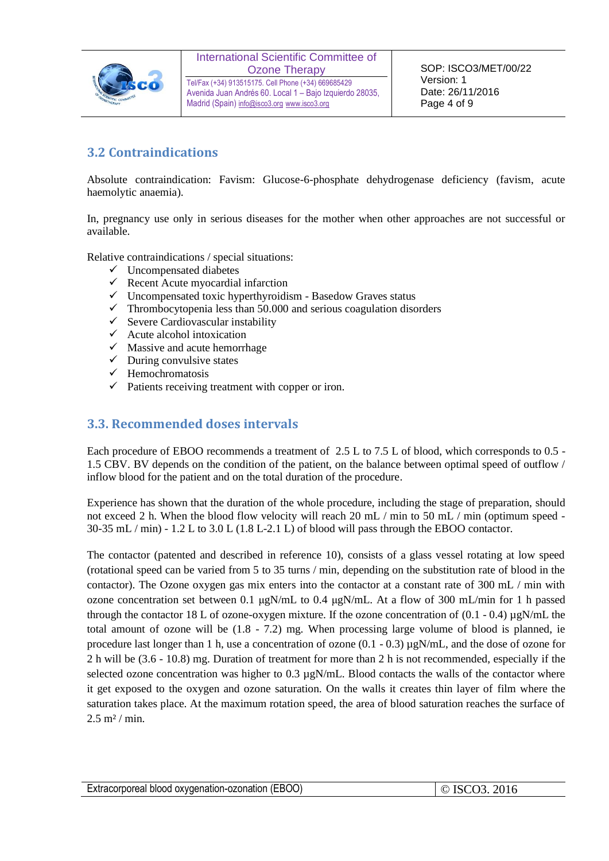

Tel/Fax (+34) 913515175. Cell Phone (+34) 669685429 Avenida Juan Andrés 60. Local 1 – Bajo Izquierdo 28035, Madrid (Spain) [info@isco3.org](mailto:info@isco3.org) [www.isco3.org](http://www.isco3.org/)

# <span id="page-3-0"></span>**3.2 Contraindications**

Absolute contraindication: Favism: Glucose-6-phosphate dehydrogenase deficiency (favism, acute haemolytic anaemia).

In, pregnancy use only in serious diseases for the mother when other approaches are not successful or available.

Relative contraindications / special situations:

- $\checkmark$  Uncompensated diabetes
- $\checkmark$  Recent Acute myocardial infarction
- $\checkmark$  Uncompensated toxic hyperthyroidism Basedow Graves status
- $\checkmark$  Thrombocytopenia less than 50.000 and serious coagulation disorders
- $\checkmark$  Severe Cardiovascular instability
- $\checkmark$  Acute alcohol intoxication
- $\checkmark$  Massive and acute hemorrhage
- $\checkmark$  During convulsive states
- ✓ Hemochromatosis
- $\checkmark$  Patients receiving treatment with copper or iron.

#### <span id="page-3-1"></span>**3.3. Recommended doses intervals**

Each procedure of EBOO recommends a treatment of 2.5 L to 7.5 L of blood, which corresponds to 0.5 -1.5 CBV. BV depends on the condition of the patient, on the balance between optimal speed of outflow / inflow blood for the patient and on the total duration of the procedure.

Experience has shown that the duration of the whole procedure, including the stage of preparation, should not exceed 2 h. When the blood flow velocity will reach 20 mL / min to 50 mL / min (optimum speed -30-35 mL / min) - 1.2 L to 3.0 L (1.8 L-2.1 L) of blood will pass through the EBOO contactor.

The contactor (patented and described in reference 10), consists of a glass vessel rotating at low speed (rotational speed can be varied from 5 to 35 turns / min, depending on the substitution rate of blood in the contactor). The Ozone oxygen gas mix enters into the contactor at a constant rate of 300 mL / min with ozone concentration set between 0.1 μgN/mL to 0.4 μgN/mL. At a flow of 300 mL/min for 1 h passed through the contactor 18 L of ozone-oxygen mixture. If the ozone concentration of  $(0.1 - 0.4) \mu gN/mL$  the total amount of ozone will be (1.8 - 7.2) mg. When processing large volume of blood is planned, ie procedure last longer than 1 h, use a concentration of ozone  $(0.1 - 0.3) \mu g N/mL$ , and the dose of ozone for 2 h will be (3.6 - 10.8) mg. Duration of treatment for more than 2 h is not recommended, especially if the selected ozone concentration was higher to 0.3  $\mu$ gN/mL. Blood contacts the walls of the contactor where it get exposed to the oxygen and ozone saturation. On the walls it creates thin layer of film where the saturation takes place. At the maximum rotation speed, the area of blood saturation reaches the surface of  $2.5 \text{ m}^2 / \text{min}$ .

| Extracorporeal blood oxygenation-ozonation (EBOO) | 2016<br>ISCO3 |
|---------------------------------------------------|---------------|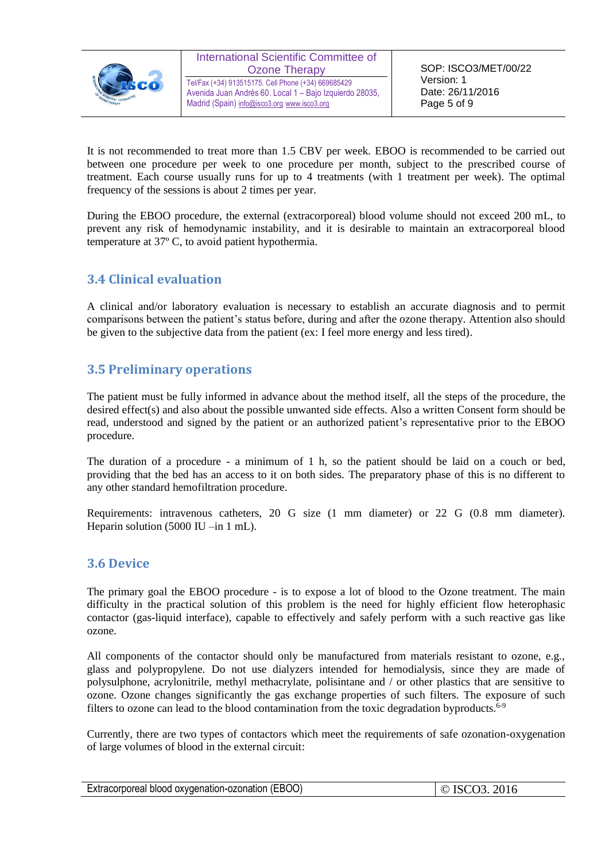

Tel/Fax (+34) 913515175. Cell Phone (+34) 669685429 Avenida Juan Andrés 60. Local 1 – Bajo Izquierdo 28035, Madrid (Spain) [info@isco3.org](mailto:info@isco3.org) [www.isco3.org](http://www.isco3.org/)

It is not recommended to treat more than 1.5 CBV per week. EBOO is recommended to be carried out between one procedure per week to one procedure per month, subject to the prescribed course of treatment. Each course usually runs for up to 4 treatments (with 1 treatment per week). The optimal frequency of the sessions is about 2 times per year.

During the EBOO procedure, the external (extracorporeal) blood volume should not exceed 200 mL, to prevent any risk of hemodynamic instability, and it is desirable to maintain an extracorporeal blood temperature at 37º C, to avoid patient hypothermia.

# <span id="page-4-0"></span>**3.4 Clinical evaluation**

A clinical and/or laboratory evaluation is necessary to establish an accurate diagnosis and to permit comparisons between the patient's status before, during and after the ozone therapy. Attention also should be given to the subjective data from the patient (ex: I feel more energy and less tired).

## <span id="page-4-1"></span>**3.5 Preliminary operations**

The patient must be fully informed in advance about the method itself, all the steps of the procedure, the desired effect(s) and also about the possible unwanted side effects. Also a written Consent form should be read, understood and signed by the patient or an authorized patient's representative prior to the EBOO procedure.

The duration of a procedure - a minimum of 1 h, so the patient should be laid on a couch or bed, providing that the bed has an access to it on both sides. The preparatory phase of this is no different to any other standard hemofiltration procedure.

Requirements: intravenous catheters, 20 G size (1 mm diameter) or 22 G (0.8 mm diameter). Heparin solution (5000 IU –in 1 mL).

#### <span id="page-4-2"></span>**3.6 Device**

The primary goal the EBOO procedure - is to expose a lot of blood to the Ozone treatment. The main difficulty in the practical solution of this problem is the need for highly efficient flow heterophasic contactor (gas-liquid interface), capable to effectively and safely perform with a such reactive gas like ozone.

All components of the contactor should only be manufactured from materials resistant to ozone, e.g., glass and polypropylene. Do not use dialyzers intended for hemodialysis, since they are made of polysulphone, acrylonitrile, methyl methacrylate, polisintane and / or other plastics that are sensitive to ozone. Ozone changes significantly the gas exchange properties of such filters. The exposure of such filters to ozone can lead to the blood contamination from the toxic degradation byproducts.<sup>6-9</sup>

Currently, there are two types of contactors which meet the requirements of safe ozonation-oxygenation of large volumes of blood in the external circuit:

| Extracorporeal blood oxygenation-ozonation (EBOO) | $\circ$ ISCO3. 2016 |
|---------------------------------------------------|---------------------|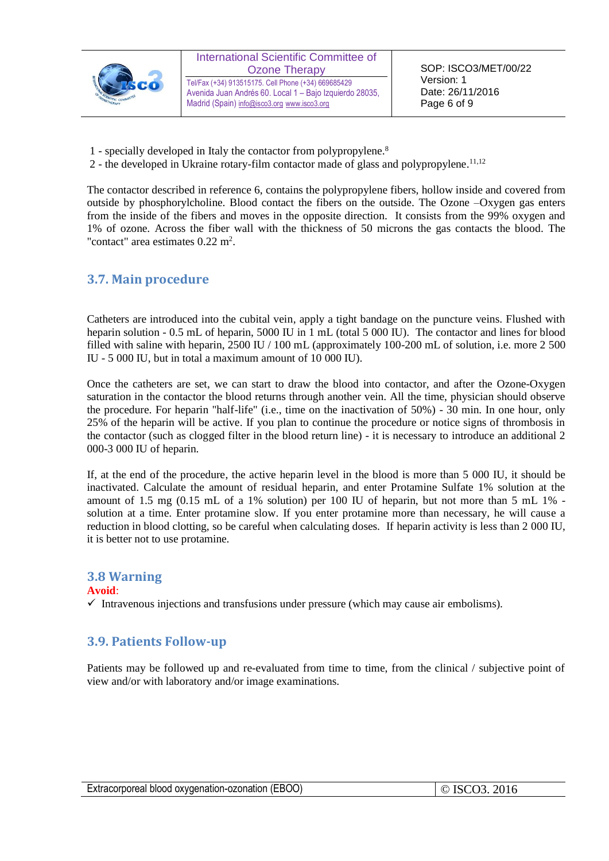

1 - specially developed in Italy the contactor from polypropylene. 8

Madrid (Spain) [info@isco3.org](mailto:info@isco3.org) [www.isco3.org](http://www.isco3.org/)

2 - the developed in Ukraine rotary-film contactor made of glass and polypropylene.<sup>11,12</sup>

The contactor described in reference 6, contains the polypropylene fibers, hollow inside and covered from outside by phosphorylcholine. Blood contact the fibers on the outside. The Ozone –Oxygen gas enters from the inside of the fibers and moves in the opposite direction. It consists from the 99% oxygen and 1% of ozone. Across the fiber wall with the thickness of 50 microns the gas contacts the blood. The "contact" area estimates  $0.22 \text{ m}^2$ .

#### <span id="page-5-0"></span>**3.7. Main procedure**

Catheters are introduced into the cubital vein, apply a tight bandage on the puncture veins. Flushed with heparin solution - 0.5 mL of heparin, 5000 IU in 1 mL (total 5 000 IU). The contactor and lines for blood filled with saline with heparin, 2500 IU / 100 mL (approximately 100-200 mL of solution, i.e. more 2 500 IU - 5 000 IU, but in total a maximum amount of 10 000 IU).

Once the catheters are set, we can start to draw the blood into contactor, and after the Ozone-Oxygen saturation in the contactor the blood returns through another vein. All the time, physician should observe the procedure. For heparin "half-life" (i.e., time on the inactivation of 50%) - 30 min. In one hour, only 25% of the heparin will be active. If you plan to continue the procedure or notice signs of thrombosis in the contactor (such as clogged filter in the blood return line) - it is necessary to introduce an additional 2 000-3 000 IU of heparin.

If, at the end of the procedure, the active heparin level in the blood is more than 5 000 IU, it should be inactivated. Calculate the amount of residual heparin, and enter Protamine Sulfate 1% solution at the amount of 1.5 mg (0.15 mL of a 1% solution) per 100 IU of heparin, but not more than 5 mL 1% solution at a time. Enter protamine slow. If you enter protamine more than necessary, he will cause a reduction in blood clotting, so be careful when calculating doses. If heparin activity is less than 2 000 IU, it is better not to use protamine.

#### <span id="page-5-1"></span>**3.8 Warning**

#### **Avoid**:

 $\checkmark$  Intravenous injections and transfusions under pressure (which may cause air embolisms).

## <span id="page-5-2"></span>**3.9. Patients Follow-up**

<span id="page-5-3"></span>Patients may be followed up and re-evaluated from time to time, from the clinical / subjective point of view and/or with laboratory and/or image examinations.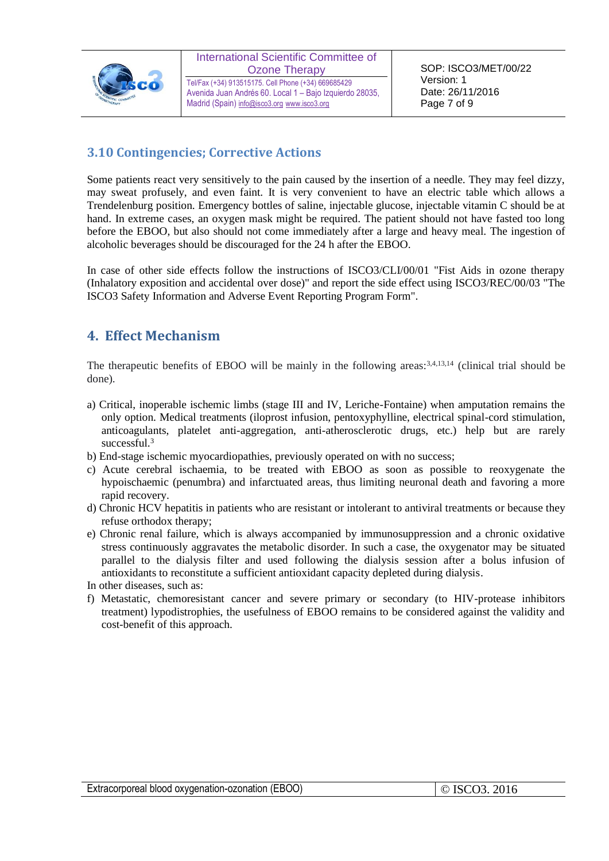

Tel/Fax (+34) 913515175. Cell Phone (+34) 669685429 Avenida Juan Andrés 60. Local 1 – Bajo Izquierdo 28035, Madrid (Spain) [info@isco3.org](mailto:info@isco3.org) [www.isco3.org](http://www.isco3.org/)

## **3.10 Contingencies; Corrective Actions**

Some patients react very sensitively to the pain caused by the insertion of a needle. They may feel dizzy, may sweat profusely, and even faint. It is very convenient to have an electric table which allows a Trendelenburg position. Emergency bottles of saline, injectable glucose, injectable vitamin C should be at hand. In extreme cases, an oxygen mask might be required. The patient should not have fasted too long before the EBOO, but also should not come immediately after a large and heavy meal. The ingestion of alcoholic beverages should be discouraged for the 24 h after the EBOO.

In case of other side effects follow the instructions of ISCO3/CLI/00/01 "Fist Aids in ozone therapy (Inhalatory exposition and accidental over dose)" and report the side effect using ISCO3/REC/00/03 "The ISCO3 Safety Information and Adverse Event Reporting Program Form".

# <span id="page-6-0"></span>**4. Effect Mechanism**

The therapeutic benefits of EBOO will be mainly in the following areas: 3,4,13,14 (clinical trial should be done).

- a) Critical, inoperable ischemic limbs (stage III and IV, Leriche-Fontaine) when amputation remains the only option. Medical treatments (iloprost infusion, pentoxyphylline, electrical spinal-cord stimulation, anticoagulants, platelet anti-aggregation, anti-atherosclerotic drugs, etc.) help but are rarely successful.<sup>3</sup>
- b) End-stage ischemic myocardiopathies, previously operated on with no success;
- c) Acute cerebral ischaemia, to be treated with EBOO as soon as possible to reoxygenate the hypoischaemic (penumbra) and infarctuated areas, thus limiting neuronal death and favoring a more rapid recovery.
- d) Chronic HCV hepatitis in patients who are resistant or intolerant to antiviral treatments or because they refuse orthodox therapy;
- e) Chronic renal failure, which is always accompanied by immunosuppression and a chronic oxidative stress continuously aggravates the metabolic disorder. In such a case, the oxygenator may be situated parallel to the dialysis filter and used following the dialysis session after a bolus infusion of antioxidants to reconstitute a sufficient antioxidant capacity depleted during dialysis.

In other diseases, such as:

f) Metastatic, chemoresistant cancer and severe primary or secondary (to HIV-protease inhibitors treatment) lypodistrophies, the usefulness of EBOO remains to be considered against the validity and cost-benefit of this approach.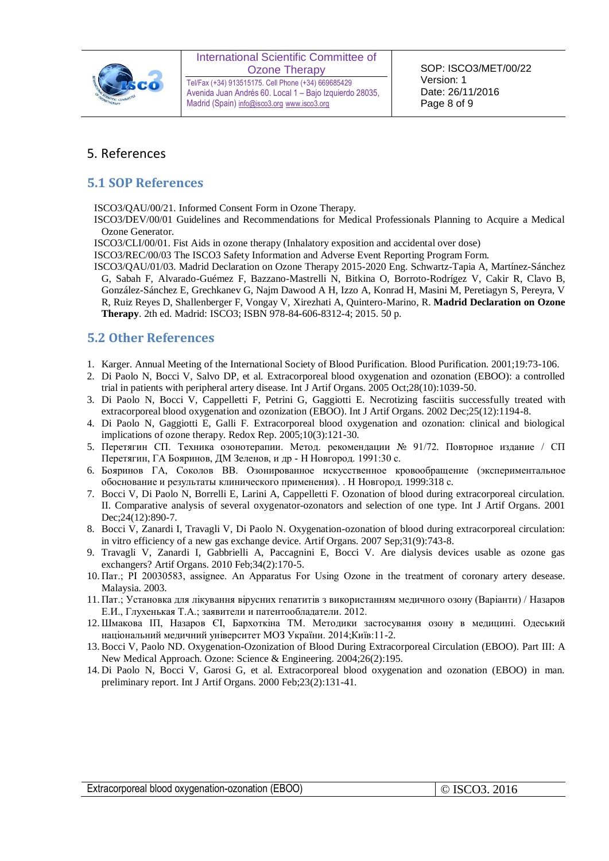

Tel/Fax (+34) 913515175. Cell Phone (+34) 669685429 Avenida Juan Andrés 60. Local 1 – Bajo Izquierdo 28035, Madrid (Spain) [info@isco3.org](mailto:info@isco3.org) [www.isco3.org](http://www.isco3.org/)

### <span id="page-7-0"></span>5. References

#### <span id="page-7-1"></span>**5.1 SOP References**

ISCO3/QAU/00/21. Informed Consent Form in Ozone Therapy.

ISCO3/DEV/00/01 Guidelines and Recommendations for Medical Professionals Planning to Acquire a Medical Ozone Generator.

ISCO3/CLI/00/01. Fist Aids in ozone therapy (Inhalatory exposition and accidental over dose)

ISCO3/REC/00/03 The ISCO3 Safety Information and Adverse Event Reporting Program Form.

ISCO3/QAU/01/03. Madrid Declaration on Ozone Therapy 2015-2020 Eng. Schwartz-Tapia A, Martínez-Sánchez G, Sabah F, Alvarado-Guémez F, Bazzano-Mastrelli N, Bitkina O, Borroto-Rodrígez V, Cakir R, Clavo B, González-Sánchez E, Grechkanev G, Najm Dawood A H, Izzo A, Konrad H, Masini M, Peretiagyn S, Pereyra, V R, Ruiz Reyes D, Shallenberger F, Vongay V, Xirezhati A, Quintero-Marino, R. **Madrid Declaration on Ozone Therapy**. 2th ed. Madrid: ISCO3; ISBN 978-84-606-8312-4; 2015. 50 p.

## <span id="page-7-2"></span>**5.2 Other References**

- 1. Karger. Annual Meeting of the International Society of Blood Purification. Blood Purification. 2001;19:73-106.
- 2. Di Paolo N, Bocci V, Salvo DP, et al. Extracorporeal blood oxygenation and ozonation (EBOO): a controlled trial in patients with peripheral artery disease. Int J Artif Organs. 2005 Oct;28(10):1039-50.
- 3. Di Paolo N, Bocci V, Cappelletti F, Petrini G, Gaggiotti E. Necrotizing fasciitis successfully treated with extracorporeal blood oxygenation and ozonization (EBOO). Int J Artif Organs. 2002 Dec;25(12):1194-8.
- 4. Di Paolo N, Gaggiotti E, Galli F. Extracorporeal blood oxygenation and ozonation: clinical and biological implications of ozone therapy. Redox Rep. 2005;10(3):121-30.
- 5. Перетягин СП. Техника озонотерапии. Метод. рекомендации № 91/72. Повторное издание / СП Перетягин, ГА Бояринов, ДМ Зеленов, и др - Н Новгород. 1991:30 с.
- 6. Бояринов ГА, Соколов ВВ. Озонированное искусственное кровообращение (экспериментальное обоснование и результаты клинического применения). . Н Новгород. 1999:318 с.
- 7. Bocci V, Di Paolo N, Borrelli E, Larini A, Cappelletti F. Ozonation of blood during extracorporeal circulation. II. Comparative analysis of several oxygenator-ozonators and selection of one type. Int J Artif Organs. 2001 Dec; 24(12): 890-7.
- 8. Bocci V, Zanardi I, Travagli V, Di Paolo N. Oxygenation-ozonation of blood during extracorporeal circulation: in vitro efficiency of a new gas exchange device. Artif Organs. 2007 Sep;31(9):743-8.
- 9. Travagli V, Zanardi I, Gabbrielli A, Paccagnini E, Bocci V. Are dialysis devices usable as ozone gas exchangers? Artif Organs. 2010 Feb;34(2):170-5.
- 10. Пат.; PI 20030583, assignee. An Apparatus For Using Ozone in the treatment of coronary artery desease. Malaysia. 2003.
- 11. Пат.; Установка для лікування вірусних гепатитів з використанням медичного озону (Варіанти) / Назаров Е.И., Глухенькая Т.А.; заявители и патентообладатели. 2012.
- 12. Шмакова ІП, Назаров ЄІ, Бархоткіна ТМ. Методики застосування озону в медицині. Одеський національний медичний університет МОЗ України. 2014;Київ:11-2.
- 13. Bocci V, Paolo ND. Oxygenation-Ozonization of Blood During Extracorporeal Circulation (EBOO). Part III: A New Medical Approach. Ozone: Science & Engineering. 2004;26(2):195.
- 14. Di Paolo N, Bocci V, Garosi G, et al. Extracorporeal blood oxygenation and ozonation (EBOO) in man. preliminary report. Int J Artif Organs. 2000 Feb;23(2):131-41.